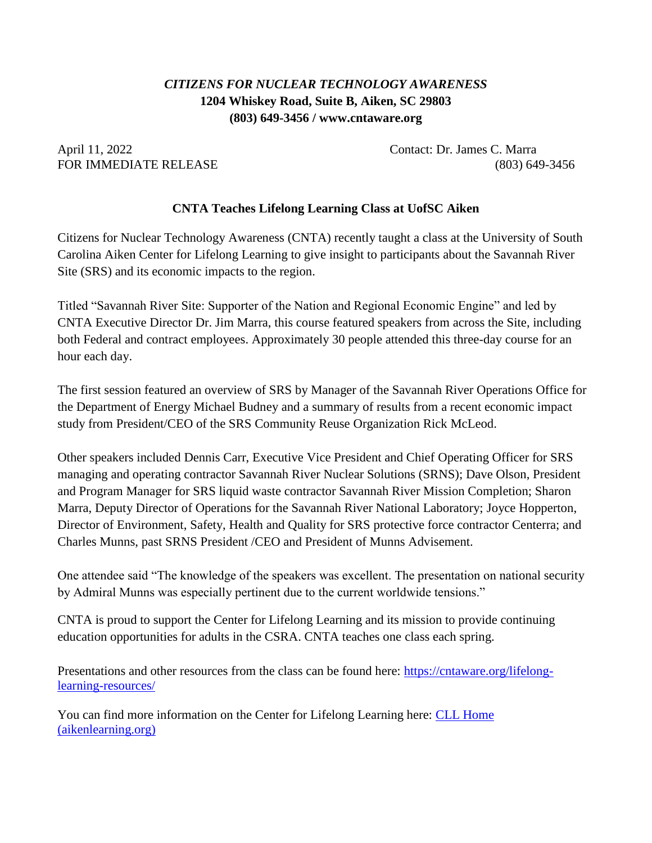## *CITIZENS FOR NUCLEAR TECHNOLOGY AWARENESS* **1204 Whiskey Road, Suite B, Aiken, SC 29803 (803) 649-3456 / www.cntaware.org**

April 11, 2022 Contact: Dr. James C. Marra

FOR IMMEDIATE RELEASE (803) 649-3456

## **CNTA Teaches Lifelong Learning Class at UofSC Aiken**

Citizens for Nuclear Technology Awareness (CNTA) recently taught a class at the University of South Carolina Aiken Center for Lifelong Learning to give insight to participants about the Savannah River Site (SRS) and its economic impacts to the region.

Titled "Savannah River Site: Supporter of the Nation and Regional Economic Engine" and led by CNTA Executive Director Dr. Jim Marra, this course featured speakers from across the Site, including both Federal and contract employees. Approximately 30 people attended this three-day course for an hour each day.

The first session featured an overview of SRS by Manager of the Savannah River Operations Office for the Department of Energy Michael Budney and a summary of results from a recent economic impact study from President/CEO of the SRS Community Reuse Organization Rick McLeod.

Other speakers included Dennis Carr, Executive Vice President and Chief Operating Officer for SRS managing and operating contractor Savannah River Nuclear Solutions (SRNS); Dave Olson, President and Program Manager for SRS liquid waste contractor Savannah River Mission Completion; Sharon Marra, Deputy Director of Operations for the Savannah River National Laboratory; Joyce Hopperton, Director of Environment, Safety, Health and Quality for SRS protective force contractor Centerra; and Charles Munns, past SRNS President /CEO and President of Munns Advisement.

One attendee said "The knowledge of the speakers was excellent. The presentation on national security by Admiral Munns was especially pertinent due to the current worldwide tensions."

CNTA is proud to support the Center for Lifelong Learning and its mission to provide continuing education opportunities for adults in the CSRA. CNTA teaches one class each spring.

Presentations and other resources from the class can be found here: [https://cntaware.org/lifelong](https://cntaware.org/lifelong-learning-resources/)[learning-resources/](https://cntaware.org/lifelong-learning-resources/)

You can find more information on the Center for Lifelong Learning here: [CLL Home](https://www.aikenlearning.org/)  [\(aikenlearning.org\)](https://www.aikenlearning.org/)